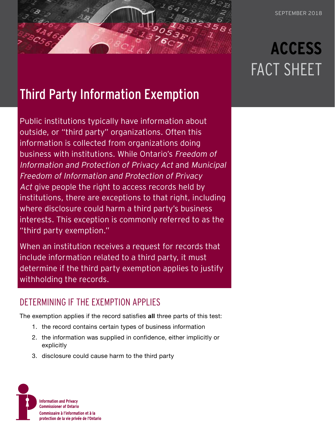## Third Party Information Exemption

Public institutions typically have information about outside, or "third party" organizations. Often this information is collected from organizations doing business with institutions. While Ontario's Freedom of Information and Protection of Privacy Act and Municipal Freedom of Information and Protection of Privacy Act give people the right to access records held by institutions, there are exceptions to that right, including where disclosure could harm a third party's business interests. This exception is commonly referred to as the "third party exemption."

When an institution receives a request for records that include information related to a third party, it must determine if the third party exemption applies to justify withholding the records.

## DETERMINING IF THE EXEMPTION APPLIES

The exemption applies if the record satisfies **all** three parts of this test:

- 1. the record contains certain types of business information
- 2. the information was supplied in confidence, either implicitly or explicitly
- 3. disclosure could cause harm to the third party



# **ACCESS** FACT SHEET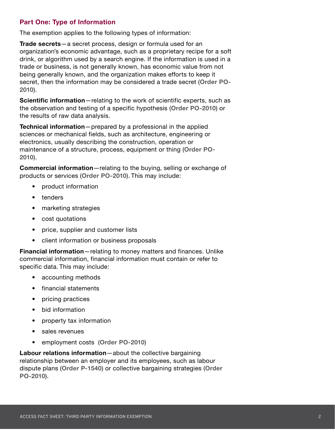#### **Part One: Type of Information**

The exemption applies to the following types of information:

**Trade secrets**—a secret process, design or formula used for an organization's economic advantage, such as a proprietary recipe for a soft drink, or algorithm used by a search engine. If the information is used in a trade or business, is not generally known, has economic value from not being generally known, and the organization makes efforts to keep it secret, then the information may be considered a trade secret (**[Order PO-](https://decisions.ipc.on.ca/ipc-cipvp/orders/en/item/131511/index.do?r=AAAAAQAHUE8tMjAxMAE)[2010](https://decisions.ipc.on.ca/ipc-cipvp/orders/en/item/131511/index.do?r=AAAAAQAHUE8tMjAxMAE)**).

**Scientific information**—relating to the work of scientific experts, such as the observation and testing of a specific hypothesis (**[Order PO-2010](https://decisions.ipc.on.ca/ipc-cipvp/orders/en/item/131511/index.do?r=AAAAAQAHUE8tMjAxMAE)**) or the results of raw data analysis.

**Technical information**—prepared by a professional in the applied sciences or mechanical fields, such as architecture, engineering or electronics, usually describing the construction, operation or maintenance of a structure, process, equipment or thing (**[Order PO-](https://decisions.ipc.on.ca/ipc-cipvp/orders/en/item/131511/index.do?r=AAAAAQAHUE8tMjAxMAE)[2010](https://decisions.ipc.on.ca/ipc-cipvp/orders/en/item/131511/index.do?r=AAAAAQAHUE8tMjAxMAE)**).

**Commercial information**—relating to the buying, selling or exchange of products or services (**[Order PO-2010](https://decisions.ipc.on.ca/ipc-cipvp/orders/en/item/131511/index.do?r=AAAAAQAHUE8tMjAxMAE)**). This may include:

- product information
- tenders
- marketing strategies
- cost quotations
- price, supplier and customer lists
- client information or business proposals

**Financial information**—relating to money matters and finances. Unlike commercial information, financial information must contain or refer to specific data. This may include:

- accounting methods
- financial statements
- pricing practices
- bid information
- property tax information
- sales revenues
- employment costs (**[Order PO-2010](https://decisions.ipc.on.ca/ipc-cipvp/orders/en/item/131511/index.do?r=AAAAAQAHUE8tMjAxMAE)**)

**Labour relations information**—about the collective bargaining relationship between an employer and its employees, such as labour dispute plans (**[Order P-1540](https://decisions.ipc.on.ca/ipc-cipvp/orders/en/item/130650/index.do?r=AAAAAQAGUC0xNTQwAQ)**) or collective bargaining strategies (**[Order](https://decisions.ipc.on.ca/ipc-cipvp/orders/en/item/131511/index.do?r=AAAAAQAHUE8tMjAxMAE)  [PO-2010](https://decisions.ipc.on.ca/ipc-cipvp/orders/en/item/131511/index.do?r=AAAAAQAHUE8tMjAxMAE)**).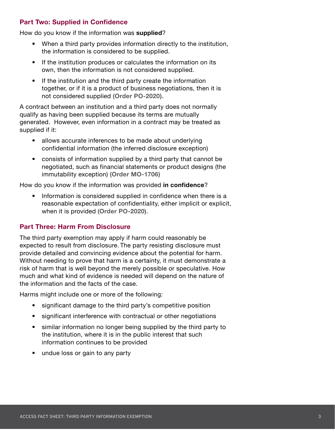#### **Part Two: Supplied in Confidence**

How do you know if the information was **supplied**?

- When a third party provides information directly to the institution, the information is considered to be supplied.
- If the institution produces or calculates the information on its own, then the information is not considered supplied.
- If the institution and the third party create the information together, or if it is a product of business negotiations, then it is not considered supplied **([Order PO-2020](https://decisions.ipc.on.ca/ipc-cipvp/orders/en/item/131593/index.do?r=AAAAAQAHUE8tMjAyMAE)).**

A contract between an institution and a third party does not normally qualify as having been supplied because its terms are mutually generated. However, even information in a contract may be treated as supplied if it:

- allows accurate inferences to be made about underlying confidential information (the inferred disclosure exception)
- consists of information supplied by a third party that cannot be negotiated, such as financial statements or product designs (the immutability exception) **[\(Order MO-1706\)](https://decisions.ipc.on.ca/ipc-cipvp/orders/en/item/132038/index.do?r=AAAAAQAHTU8tMTcwNgE)**

How do you know if the information was provided **in confidence**?

• Information is considered supplied in confidence when there is a reasonable expectation of confidentiality, either implicit or explicit, when it is provided (**[Order PO-2020](https://decisions.ipc.on.ca/ipc-cipvp/orders/en/item/131593/index.do?r=AAAAAQAHUE8tMjAyMAE)**).

#### **Part Three: Harm From Disclosure**

The third party exemption may apply if harm could reasonably be expected to result from disclosure. The party resisting disclosure must provide detailed and convincing evidence about the potential for harm. Without needing to prove that harm is a certainty, it must demonstrate a risk of harm that is well beyond the merely possible or speculative. How much and what kind of evidence is needed will depend on the nature of the information and the facts of the case.

Harms might include one or more of the following:

- significant damage to the third party's competitive position
- significant interference with contractual or other negotiations
- similar information no longer being supplied by the third party to the institution, where it is in the public interest that such information continues to be provided
- undue loss or gain to any party